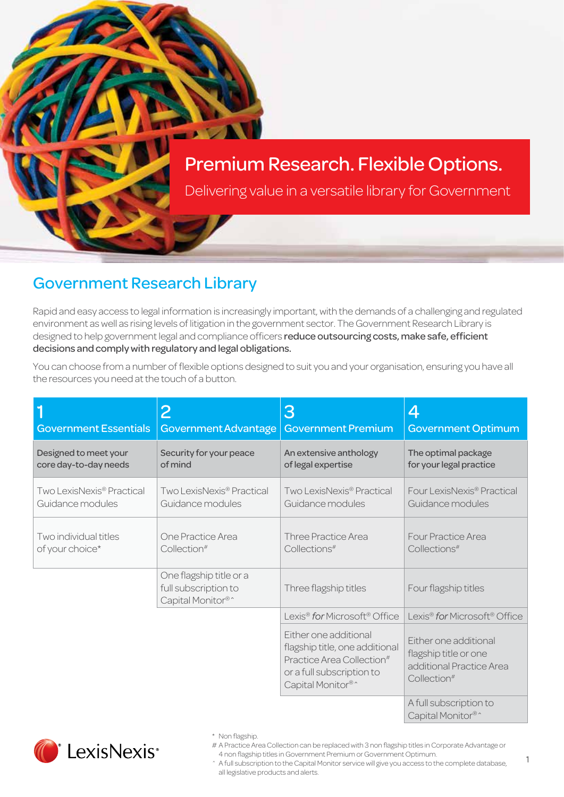# Premium Research. Flexible Options.

Delivering value in a versatile library for Government

### Government Research Library

Rapid and easy access to legal information is increasingly important, with the demands of a challenging and regulated environment as well as rising levels of litigation in the government sector. The Government Research Library is designed to help government legal and compliance officers reduce outsourcing costs, make safe, efficient decisions and comply with regulatory and legal obligations.

You can choose from a number of flexible options designed to suit you and your organisation, ensuring you have all the resources you need at the touch of a button.

| <b>Government Essentials</b> | 2                                                                    | 3                                                                                                                                                                          | 4                                                                                                     |
|------------------------------|----------------------------------------------------------------------|----------------------------------------------------------------------------------------------------------------------------------------------------------------------------|-------------------------------------------------------------------------------------------------------|
|                              | Government Advantage                                                 | <b>Government Premium</b>                                                                                                                                                  | <b>Government Optimum</b>                                                                             |
| Designed to meet your        | Security for your peace                                              | An extensive anthology                                                                                                                                                     | The optimal package                                                                                   |
| core day-to-day needs        | of mind                                                              | of legal expertise                                                                                                                                                         | for your legal practice                                                                               |
| Two LexisNexis® Practical    | Two LexisNexis <sup>®</sup> Practical                                | Two LexisNexis® Practical                                                                                                                                                  | Four LexisNexis <sup>®</sup> Practical                                                                |
| Guidance modules             | Guidance modules                                                     | Guidance modules                                                                                                                                                           | Guidance modules                                                                                      |
| Two individual titles        | One Practice Area                                                    | Three Practice Area                                                                                                                                                        | <b>Four Practice Area</b>                                                                             |
| of your choice*              | Collection <sup>#</sup>                                              | Collections#                                                                                                                                                               | Collections#                                                                                          |
|                              | One flagship title or a<br>full subscription to<br>Capital Monitor®^ | Three flagship titles                                                                                                                                                      | Four flagship titles                                                                                  |
|                              |                                                                      | Lexis <sup>®</sup> for Microsoft <sup>®</sup> Office                                                                                                                       | Lexis <sup>®</sup> for Microsoft <sup>®</sup> Office                                                  |
|                              |                                                                      | Either one additional<br>flagship title, one additional<br>Practice Area Collection <sup>#</sup><br>or a full subscription to<br>Capital Monitor <sup>®</sup> <sup>^</sup> | Either one additional<br>flagship title or one<br>additional Practice Area<br>Collection <sup>#</sup> |
|                              |                                                                      |                                                                                                                                                                            | A full subscription to                                                                                |



# A Practice Area Collection can be replaced with 3 non flagship titles in Corporate Advantage or 4 non flagship titles in Government Premium or Government Optimum.

Capital Monitor<sup>®</sup>

^ A full subscription to the Capital Monitor service will give you access to the complete database, all legislative products and alerts.

1

<sup>\*</sup> Non flagship.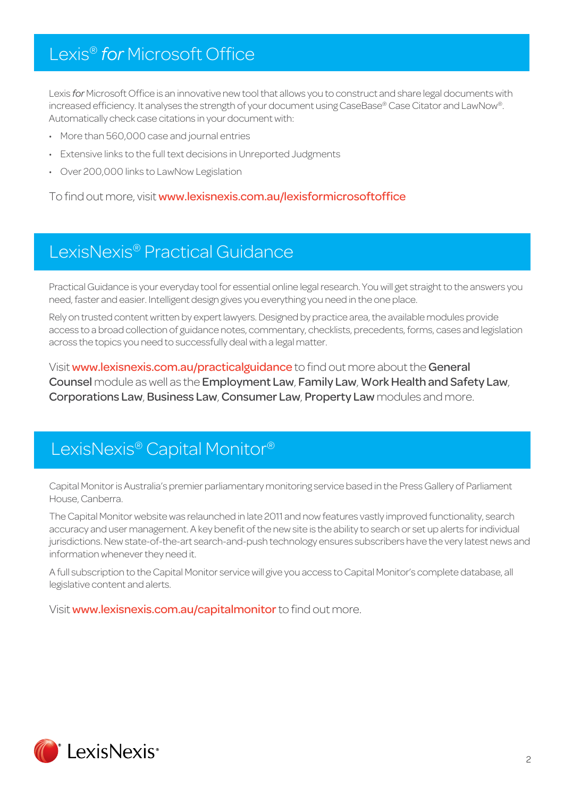# Lexis® *for* Microsoft Office

Lexis *for* Microsoft Office is an innovative new tool that allows you to construct and share legal documents with increased efficiency. It analyses the strength of your document using CaseBase® Case Citator and LawNow®. Automatically check case citations in your document with:

- More than 560,000 case and journal entries
- Extensive links to the full text decisions in Unreported Judgments
- Over 200,000 links to LawNow Legislation

To find out more, visit www.lexisnexis.com.au/lexisformicrosoftoffice

### LexisNexis® Practical Guidance

Practical Guidance is your everyday tool for essential online legal research. You will get straight to the answers you need, faster and easier. Intelligent design gives you everything you need in the one place.

Rely on trusted content written by expert lawyers. Designed by practice area, the available modules provide access to a broad collection of guidance notes, commentary, checklists, precedents, forms, cases and legislation across the topics you need to successfully deal with a legal matter.

Visit www.lexisnexis.com.au/practicalguidance to find out more about the General Counsel module as well as the Employment Law, Family Law, Work Health and Safety Law, Corporations Law, Business Law, Consumer Law, Property Law modules and more.

### LexisNexis® Capital Monitor®

Capital Monitor is Australia's premier parliamentary monitoring service based in the Press Gallery of Parliament House, Canberra.

The Capital Monitor website was relaunched in late 2011 and now features vastly improved functionality, search accuracy and user management. A key benefit of the new site is the ability to search or set up alerts for individual jurisdictions. New state-of-the-art search-and-push technology ensures subscribers have the very latest news and information whenever they need it.

A full subscription to the Capital Monitor service will give you access to Capital Monitor's complete database, all legislative content and alerts.

Visit www.lexisnexis.com.au/capitalmonitor to find out more.

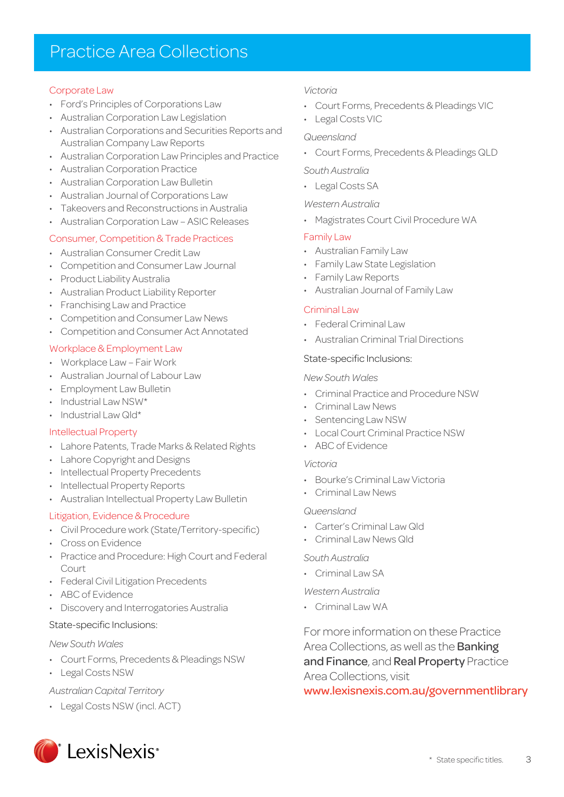### Practice Area Collections

#### Corporate Law

- Ford's Principles of Corporations Law
- Australian Corporation Law Legislation
- Australian Corporations and Securities Reports and Australian Company Law Reports
- Australian Corporation Law Principles and Practice
- Australian Corporation Practice
- Australian Corporation Law Bulletin
- Australian Journal of Corporations Law
- Takeovers and Reconstructions in Australia
- Australian Corporation Law ASIC Releases

#### Consumer, Competition & Trade Practices

- Australian Consumer Credit Law
- Competition and Consumer Law Journal
- Product Liability Australia
- Australian Product Liability Reporter
- Franchising Law and Practice
- Competition and Consumer Law News
- Competition and Consumer Act Annotated

#### Workplace & Employment Law

- Workplace Law Fair Work
- Australian Journal of Labour Law
- Employment Law Bulletin
- $\cdot$  Industrial Law NSW\*
- Industrial Law Qld\*

#### Intellectual Property

- Lahore Patents, Trade Marks & Related Rights
- Lahore Copyright and Designs
- Intellectual Property Precedents
- Intellectual Property Reports
- Australian Intellectual Property Law Bulletin

#### Litigation, Evidence & Procedure

- Civil Procedure work (State/Territory-specific)
- Cross on Evidence
- Practice and Procedure: High Court and Federal Court
- Federal Civil Litigation Precedents
- ABC of Evidence
- Discovery and Interrogatories Australia

#### State-specific Inclusions:

#### *New South Wales*

- Court Forms, Precedents & Pleadings NSW
- Legal Costs NSW

#### *Australian Capital Territory*

• Legal Costs NSW (incl. ACT)

#### *Victoria*

- Court Forms, Precedents & Pleadings VIC
- Legal Costs VIC

#### *Queensland*

• Court Forms, Precedents & Pleadings QLD

#### *South Australia*

• Legal Costs SA

#### *Western Australia*

• Magistrates Court Civil Procedure WA

#### Family Law

- Australian Family Law
- Family Law State Legislation
- Family Law Reports
- Australian Journal of Family Law

#### Criminal Law

- Federal Criminal Law
- Australian Criminal Trial Directions

#### State-specific Inclusions:

#### *New South Wales*

- Criminal Practice and Procedure NSW
- Criminal Law News
- Sentencing Law NSW
- Local Court Criminal Practice NSW
- ABC of Evidence

#### *Victoria*

- Bourke's Criminal Law Victoria
- Criminal Law News

#### *Queensland*

- Carter's Criminal Law Old
- Criminal Law News Qld

#### *South Australia*

• Criminal Law SA

#### *Western Australia*

• Criminal Law WA

For more information on these Practice Area Collections, as well as the **Banking** and Finance, and Real Property Practice Area Collections, visit

www.lexisnexis.com.au/governmentlibrary